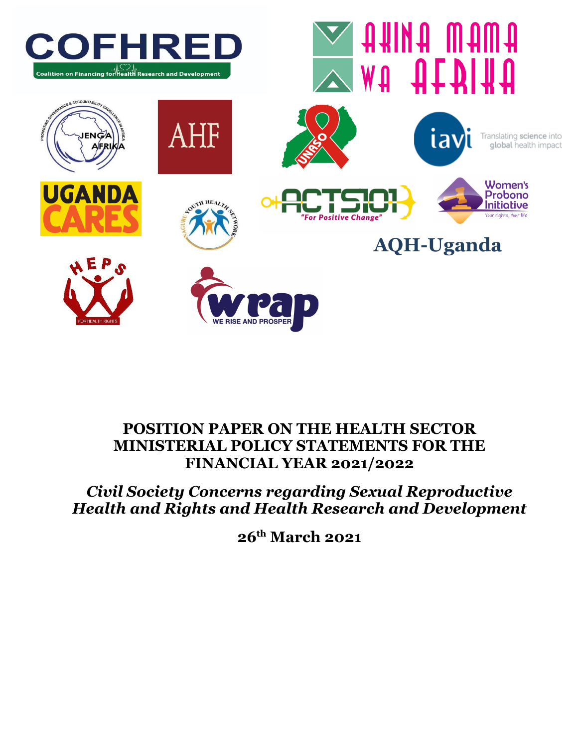

# **POSITION PAPER ON THE HEALTH SECTOR MINISTERIAL POLICY STATEMENTS FOR THE FINANCIAL YEAR 2021/2022**

# *Civil Society Concerns regarding Sexual Reproductive Health and Rights and Health Research and Development*

**26 th March 2021**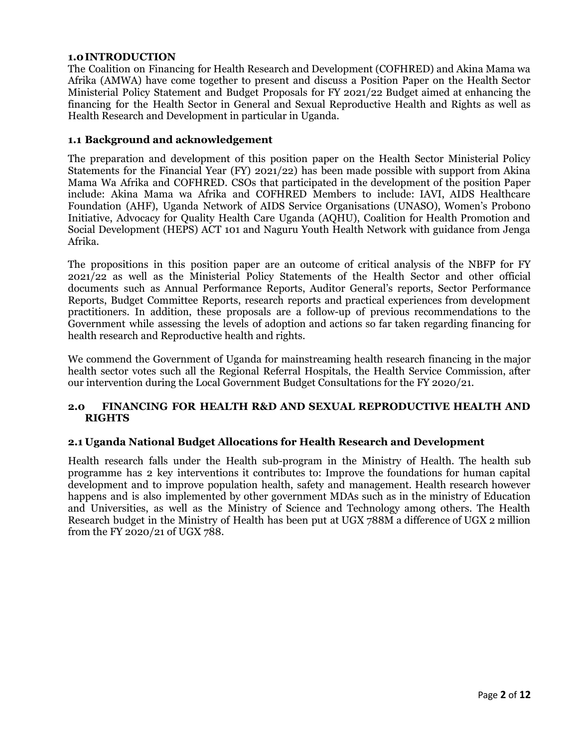# **1.0INTRODUCTION**

The Coalition on Financing for Health Research and Development (COFHRED) and Akina Mama wa Afrika (AMWA) have come together to present and discuss a Position Paper on the Health Sector Ministerial Policy Statement and Budget Proposals for FY 2021/22 Budget aimed at enhancing the financing for the Health Sector in General and Sexual Reproductive Health and Rights as well as Health Research and Development in particular in Uganda.

### **1.1 Background and acknowledgement**

The preparation and development of this position paper on the Health Sector Ministerial Policy Statements for the Financial Year (FY) 2021/22) has been made possible with support from Akina Mama Wa Afrika and COFHRED. CSOs that participated in the development of the position Paper include: Akina Mama wa Afrika and COFHRED Members to include: IAVI, AIDS Healthcare Foundation (AHF), Uganda Network of AIDS Service Organisations (UNASO), Women's Probono Initiative, Advocacy for Quality Health Care Uganda (AQHU), Coalition for Health Promotion and Social Development (HEPS) ACT 101 and Naguru Youth Health Network with guidance from Jenga Afrika.

The propositions in this position paper are an outcome of critical analysis of the NBFP for FY 2021/22 as well as the Ministerial Policy Statements of the Health Sector and other official documents such as Annual Performance Reports, Auditor General's reports, Sector Performance Reports, Budget Committee Reports, research reports and practical experiences from development practitioners. In addition, these proposals are a follow-up of previous recommendations to the Government while assessing the levels of adoption and actions so far taken regarding financing for health research and Reproductive health and rights.

We commend the Government of Uganda for mainstreaming health research financing in the major health sector votes such all the Regional Referral Hospitals, the Health Service Commission, after our intervention during the Local Government Budget Consultations for the FY 2020/21.

# **2.0 FINANCING FOR HEALTH R&D AND SEXUAL REPRODUCTIVE HEALTH AND RIGHTS**

#### **2.1 Uganda National Budget Allocations for Health Research and Development**

Health research falls under the Health sub-program in the Ministry of Health. The health sub programme has 2 key interventions it contributes to: Improve the foundations for human capital development and to improve population health, safety and management. Health research however happens and is also implemented by other government MDAs such as in the ministry of Education and Universities, as well as the Ministry of Science and Technology among others. The Health Research budget in the Ministry of Health has been put at UGX 788M a difference of UGX 2 million from the FY 2020/21 of UGX 788.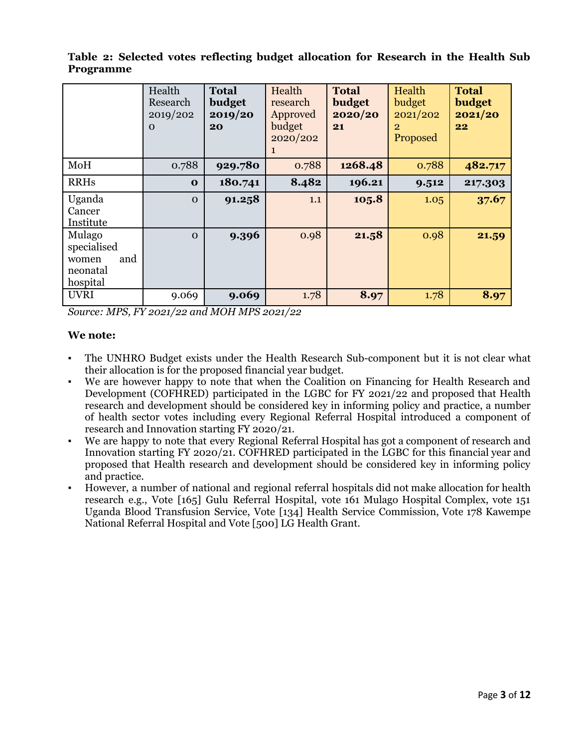|                                                               | Health<br>Research<br>2019/202<br>$\Omega$ | <b>Total</b><br>budget<br>2019/20<br>20 | Health<br>research<br>Approved<br>budget<br>2020/202<br>1 | <b>Total</b><br>budget<br>2020/20<br>21 | Health<br>budget<br>2021/202<br>2<br>Proposed | <b>Total</b><br>budget<br>2021/20<br>22 |
|---------------------------------------------------------------|--------------------------------------------|-----------------------------------------|-----------------------------------------------------------|-----------------------------------------|-----------------------------------------------|-----------------------------------------|
| MoH                                                           | 0.788                                      | 929.780                                 | 0.788                                                     | 1268.48                                 | 0.788                                         | 482.717                                 |
| <b>RRHs</b>                                                   | $\mathbf 0$                                | 180.741                                 | 8.482                                                     | 196.21                                  | 9.512                                         | 217.303                                 |
| Uganda<br>Cancer<br>Institute                                 | $\Omega$                                   | 91.258                                  | 1.1                                                       | 105.8                                   | 1.05                                          | 37.67                                   |
| Mulago<br>specialised<br>and<br>women<br>neonatal<br>hospital | $\Omega$                                   | 9.396                                   | 0.98                                                      | 21.58                                   | 0.98                                          | 21.59                                   |
| <b>UVRI</b>                                                   | 9.069                                      | 9.069                                   | 1.78                                                      | 8.97                                    | 1.78                                          | 8.97                                    |

**Table 2: Selected votes reflecting budget allocation for Research in the Health Sub Programme**

*Source: MPS, FY 2021/22 and MOH MPS 2021/22*

# **We note:**

- The UNHRO Budget exists under the Health Research Sub-component but it is not clear what their allocation is for the proposed financial year budget.
- We are however happy to note that when the Coalition on Financing for Health Research and Development (COFHRED) participated in the LGBC for FY 2021/22 and proposed that Health research and development should be considered key in informing policy and practice, a number of health sector votes including every Regional Referral Hospital introduced a component of research and Innovation starting FY 2020/21.
- We are happy to note that every Regional Referral Hospital has got a component of research and Innovation starting FY 2020/21. COFHRED participated in the LGBC for this financial year and proposed that Health research and development should be considered key in informing policy and practice.
- However, a number of national and regional referral hospitals did not make allocation for health research e.g., Vote [165] Gulu Referral Hospital, vote 161 Mulago Hospital Complex, vote 151 Uganda Blood Transfusion Service, Vote [134] Health Service Commission, Vote 178 Kawempe National Referral Hospital and Vote [500] LG Health Grant.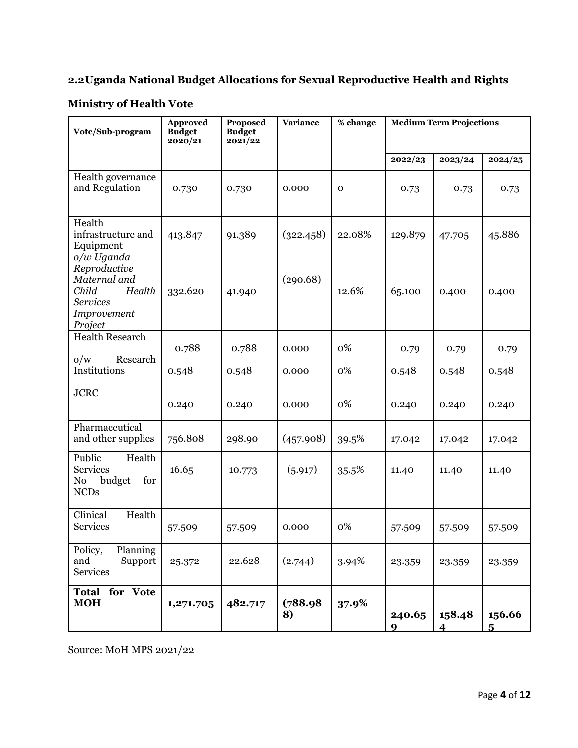# **2.2Uganda National Budget Allocations for Sexual Reproductive Health and Rights**

# **Ministry of Health Vote**

| Vote/Sub-program                                                                                           | <b>Approved</b><br><b>Budget</b><br>2020/21 | Proposed<br><b>Budget</b><br>2021/22 | <b>Variance</b>       | % change        | <b>Medium Term Projections</b> |                 |                 |
|------------------------------------------------------------------------------------------------------------|---------------------------------------------|--------------------------------------|-----------------------|-----------------|--------------------------------|-----------------|-----------------|
|                                                                                                            |                                             |                                      |                       |                 | 2022/23                        | 2023/24         | 2024/25         |
| Health governance<br>and Regulation                                                                        | 0.730                                       | 0.730                                | 0.000                 | $\mathbf 0$     | 0.73                           | 0.73            | 0.73            |
| Health<br>infrastructure and<br>Equipment<br>o/w Uganda<br>Reproductive<br>Maternal and<br>Child<br>Health | 413.847<br>332.620                          | 91.389<br>41.940                     | (322.458)<br>(290.68) | 22.08%<br>12.6% | 129.879<br>65.100              | 47.705<br>0.400 | 45.886<br>0.400 |
| <b>Services</b><br>Improvement<br>Project                                                                  |                                             |                                      |                       |                 |                                |                 |                 |
| <b>Health Research</b><br>0/w<br>Research<br>Institutions                                                  | 0.788                                       | 0.788                                | 0.000                 | 0%              | 0.79                           | 0.79            | 0.79            |
|                                                                                                            | 0.548                                       | 0.548                                | 0.000                 | 0%              | 0.548                          | 0.548           | 0.548           |
| <b>JCRC</b>                                                                                                | 0.240                                       | 0.240                                | 0.000                 | 0%              | 0.240                          | 0.240           | 0.240           |
| Pharmaceutical<br>and other supplies                                                                       | 756.808                                     | 298.90                               | (457.908)             | 39.5%           | 17.042                         | 17.042          | 17.042          |
| Public<br>Health<br><b>Services</b><br>budget<br>for<br>No<br><b>NCDs</b>                                  | 16.65                                       | 10.773                               | (5.917)               | 35.5%           | 11.40                          | 11.40           | 11.40           |
| Health<br>Clinical<br>Services                                                                             | 57.509                                      | 57.509                               | 0.000                 | 0%              | 57.509                         | 57.509          | 57.509          |
| Policy,<br>Planning<br>and<br>Support<br><b>Services</b>                                                   | 25.372                                      | 22.628                               | (2.744)               | 3.94%           | 23.359                         | 23.359          | 23.359          |
| <b>Total for Vote</b><br><b>MOH</b>                                                                        | 1,271.705                                   | 482.717                              | (788.98)<br>8)        | 37.9%           | 240.65<br>q                    | 158.48<br>4     | 156.66<br>5     |

Source: MoH MPS 2021/22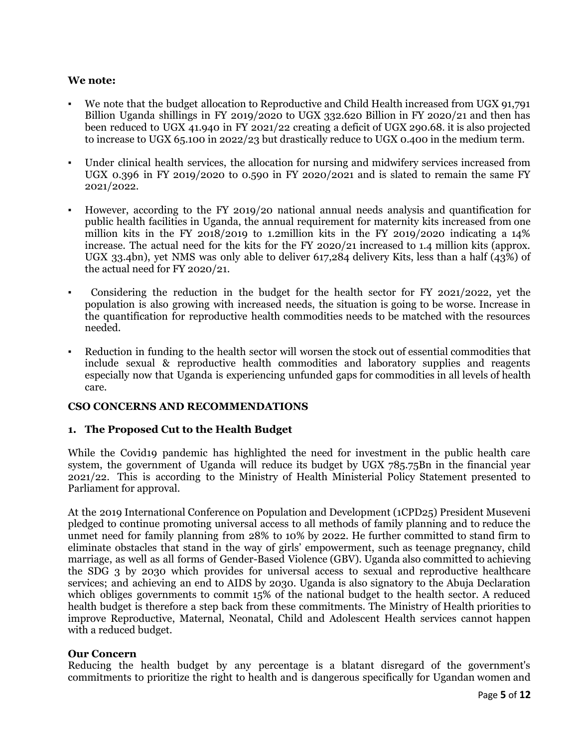# **We note:**

- We note that the budget allocation to Reproductive and Child Health increased from UGX 91,791 Billion Uganda shillings in FY 2019/2020 to UGX 332.620 Billion in FY 2020/21 and then has been reduced to UGX 41.940 in FY 2021/22 creating a deficit of UGX 290.68. it is also projected to increase to UGX 65.100 in 2022/23 but drastically reduce to UGX 0.400 in the medium term.
- Under clinical health services, the allocation for nursing and midwifery services increased from UGX 0.396 in FY 2019/2020 to 0.590 in FY 2020/2021 and is slated to remain the same FY 2021/2022.
- However, according to the FY 2019/20 national annual needs analysis and quantification for public health facilities in Uganda, the annual requirement for maternity kits increased from one million kits in the FY 2018/2019 to 1.2million kits in the FY 2019/2020 indicating a 14% increase. The actual need for the kits for the FY 2020/21 increased to 1.4 million kits (approx. UGX 33.4bn), yet NMS was only able to deliver 617,284 delivery Kits, less than a half (43%) of the actual need for FY 2020/21.
- Considering the reduction in the budget for the health sector for FY 2021/2022, yet the population is also growing with increased needs, the situation is going to be worse. Increase in the quantification for reproductive health commodities needs to be matched with the resources needed.
- Reduction in funding to the health sector will worsen the stock out of essential commodities that include sexual & reproductive health commodities and laboratory supplies and reagents especially now that Uganda is experiencing unfunded gaps for commodities in all levels of health care.

#### **CSO CONCERNS AND RECOMMENDATIONS**

#### **1. The Proposed Cut to the Health Budget**

While the Covid<sub>19</sub> pandemic has highlighted the need for investment in the public health care system, the government of Uganda will reduce its budget by UGX 785.75Bn in the financial year 2021/22. This is according to the Ministry of Health Ministerial Policy Statement presented to Parliament for approval.

At the 2019 International Conference on Population and Development (1CPD25) President Museveni pledged to continue promoting universal access to all methods of family planning and to reduce the unmet need for family planning from 28% to 10% by 2022. He further committed to stand firm to eliminate obstacles that stand in the way of girls' empowerment, such as teenage pregnancy, child marriage, as well as all forms of Gender-Based Violence (GBV). Uganda also committed to achieving the SDG 3 by 2030 which provides for universal access to sexual and reproductive healthcare services; and achieving an end to AIDS by 2030. Uganda is also signatory to the Abuja Declaration which obliges governments to commit 15% of the national budget to the health sector. A reduced health budget is therefore a step back from these commitments. The Ministry of Health priorities to improve Reproductive, Maternal, Neonatal, Child and Adolescent Health services cannot happen with a reduced budget.

#### **Our Concern**

Reducing the health budget by any percentage is a blatant disregard of the government's commitments to prioritize the right to health and is dangerous specifically for Ugandan women and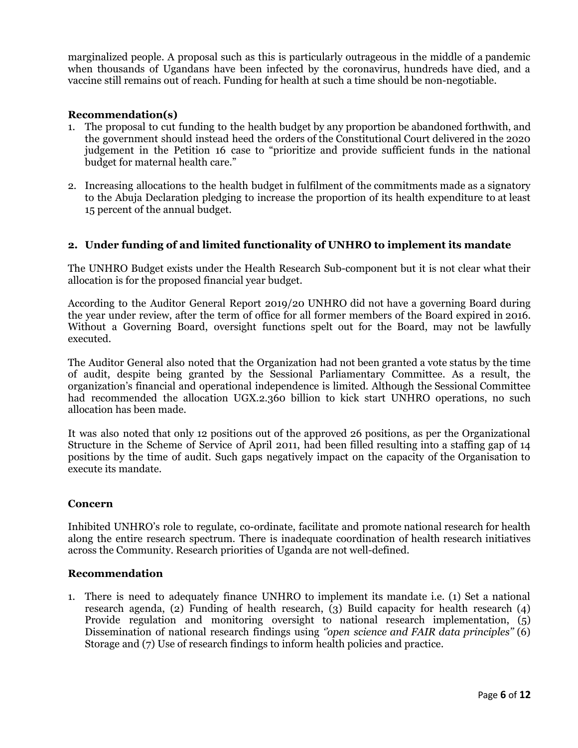marginalized people. A proposal such as this is particularly outrageous in the middle of a pandemic when thousands of Ugandans have been infected by the coronavirus, hundreds have died, and a vaccine still remains out of reach. Funding for health at such a time should be non-negotiable.

# **Recommendation(s)**

- 1. The proposal to cut funding to the health budget by any proportion be abandoned forthwith, and the government should instead heed the orders of the Constitutional Court delivered in the 2020 judgement in the Petition 16 case to "prioritize and provide sufficient funds in the national budget for maternal health care."
- 2. Increasing allocations to the health budget in fulfilment of the commitments made as a signatory to the Abuja Declaration pledging to increase the proportion of its health expenditure to at least 15 percent of the annual budget.

# **2. Under funding of and limited functionality of UNHRO to implement its mandate**

The UNHRO Budget exists under the Health Research Sub-component but it is not clear what their allocation is for the proposed financial year budget.

According to the Auditor General Report 2019/20 UNHRO did not have a governing Board during the year under review, after the term of office for all former members of the Board expired in 2016. Without a Governing Board, oversight functions spelt out for the Board, may not be lawfully executed.

The Auditor General also noted that the Organization had not been granted a vote status by the time of audit, despite being granted by the Sessional Parliamentary Committee. As a result, the organization's financial and operational independence is limited. Although the Sessional Committee had recommended the allocation UGX.2.360 billion to kick start UNHRO operations, no such allocation has been made.

It was also noted that only 12 positions out of the approved 26 positions, as per the Organizational Structure in the Scheme of Service of April 2011, had been filled resulting into a staffing gap of 14 positions by the time of audit. Such gaps negatively impact on the capacity of the Organisation to execute its mandate.

#### **Concern**

Inhibited UNHRO's role to regulate, co-ordinate, facilitate and promote national research for health along the entire research spectrum. There is inadequate coordination of health research initiatives across the Community. Research priorities of Uganda are not well-defined.

#### **Recommendation**

1. There is need to adequately finance UNHRO to implement its mandate i.e. (1) Set a national research agenda, (2) Funding of health research, (3) Build capacity for health research (4) Provide regulation and monitoring oversight to national research implementation, (5) Dissemination of national research findings using *''open science and FAIR data principles''* (6) Storage and (7) Use of research findings to inform health policies and practice.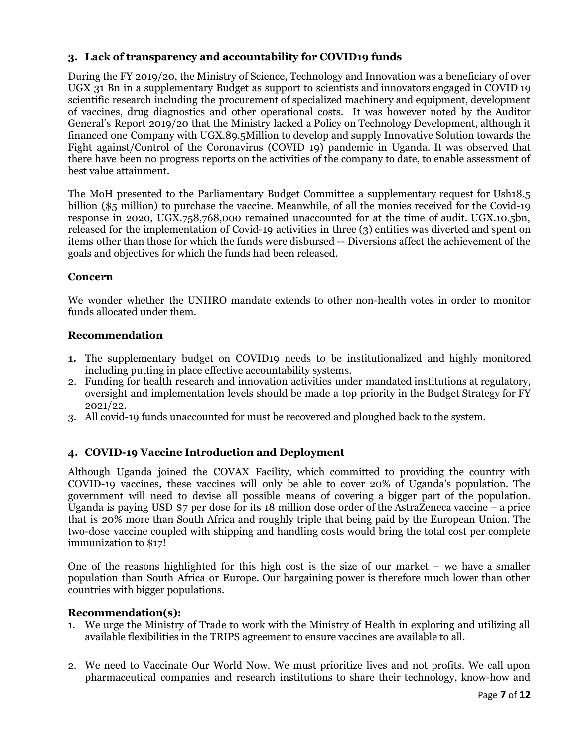# **3. Lack of transparency and accountability for COVID19 funds**

During the FY 2019/20, the Ministry of Science, Technology and Innovation was a beneficiary of over UGX 31 Bn in a supplementary Budget as support to scientists and innovators engaged in COVID 19 scientific research including the procurement of specialized machinery and equipment, development of vaccines, drug diagnostics and other operational costs. It was however noted by the Auditor General's Report 2019/20 that the Ministry lacked a Policy on Technology Development, although it financed one Company with UGX.89.5Million to develop and supply Innovative Solution towards the Fight against/Control of the Coronavirus (COVID 19) pandemic in Uganda. It was observed that there have been no progress reports on the activities of the company to date, to enable assessment of best value attainment.

The MoH presented to the Parliamentary Budget Committee a supplementary request for Ush18.5 billion (\$5 million) to purchase the vaccine. Meanwhile, of all the monies received for the Covid-19 response in 2020, UGX.758,768,000 remained unaccounted for at the time of audit. UGX.10.5bn, released for the implementation of Covid-19 activities in three (3) entities was diverted and spent on items other than those for which the funds were disbursed -- Diversions affect the achievement of the goals and objectives for which the funds had been released.

# **Concern**

We wonder whether the UNHRO mandate extends to other non-health votes in order to monitor funds allocated under them.

# **Recommendation**

- **1.** The supplementary budget on COVID19 needs to be institutionalized and highly monitored including putting in place effective accountability systems.
- 2. Funding for health research and innovation activities under mandated institutions at regulatory, oversight and implementation levels should be made a top priority in the Budget Strategy for FY 2021/22.
- 3. All covid-19 funds unaccounted for must be recovered and ploughed back to the system.

# **4. COVID-19 Vaccine Introduction and Deployment**

Although Uganda joined the COVAX Facility, which committed to providing the country with COVID-19 vaccines, these vaccines will only be able to cover 20% of Uganda's population. The government will need to devise all possible means of covering a bigger part of the population. Uganda is paying USD \$7 per dose for its 18 million dose order of the AstraZeneca vaccine – a price that is 20% more than South Africa and roughly triple that being paid by the European Union. The two-dose vaccine coupled with shipping and handling costs would bring the total cost per complete immunization to \$17!

One of the reasons highlighted for this high cost is the size of our market – we have a smaller population than South Africa or Europe. Our bargaining power is therefore much lower than other countries with bigger populations.

#### **Recommendation(s):**

- 1. We urge the Ministry of Trade to work with the Ministry of Health in exploring and utilizing all available flexibilities in the TRIPS agreement to ensure vaccines are available to all.
- 2. We need to Vaccinate Our World Now. We must prioritize lives and not profits. We call upon pharmaceutical companies and research institutions to share their technology, know-how and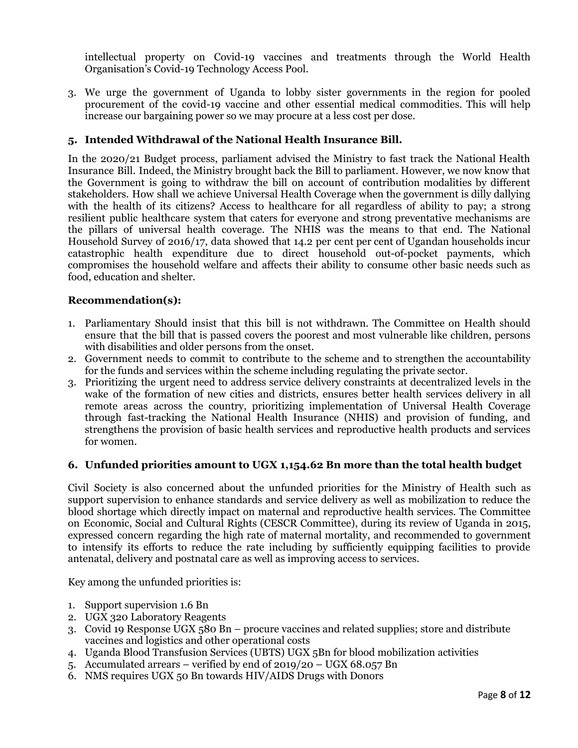intellectual property on Covid-19 vaccines and treatments through the World Health Organisation's Covid-19 Technology Access Pool.

3. We urge the government of Uganda to lobby sister governments in the region for pooled procurement of the covid-19 vaccine and other essential medical commodities. This will help increase our bargaining power so we may procure at a less cost per dose.

# **5. Intended Withdrawal of the National Health Insurance Bill.**

In the 2020/21 Budget process, parliament advised the Ministry to fast track the National Health Insurance Bill. Indeed, the Ministry brought back the Bill to parliament. However, we now know that the Government is going to withdraw the bill on account of contribution modalities by different stakeholders. How shall we achieve Universal Health Coverage when the government is dilly dallying with the health of its citizens? Access to healthcare for all regardless of ability to pay; a strong resilient public healthcare system that caters for everyone and strong preventative mechanisms are the pillars of universal health coverage. The NHIS was the means to that end. The National Household Survey of 2016/17, data showed that 14.2 per cent per cent of Ugandan households incur catastrophic health expenditure due to direct household out-of-pocket payments, which compromises the household welfare and affects their ability to consume other basic needs such as food, education and shelter.

# **Recommendation(s):**

- 1. Parliamentary Should insist that this bill is not withdrawn. The Committee on Health should ensure that the bill that is passed covers the poorest and most vulnerable like children, persons with disabilities and older persons from the onset.
- 2. Government needs to commit to contribute to the scheme and to strengthen the accountability for the funds and services within the scheme including regulating the private sector.
- 3. Prioritizing the urgent need to address service delivery constraints at decentralized levels in the wake of the formation of new cities and districts, ensures better health services delivery in all remote areas across the country, prioritizing implementation of Universal Health Coverage through fast-tracking the National Health Insurance (NHIS) and provision of funding, and strengthens the provision of basic health services and reproductive health products and services for women.

#### **6. Unfunded priorities amount to UGX 1,154.62 Bn more than the total health budget**

Civil Society is also concerned about the unfunded priorities for the Ministry of Health such as support supervision to enhance standards and service delivery as well as mobilization to reduce the blood shortage which directly impact on maternal and reproductive health services. The Committee on Economic, Social and Cultural Rights (CESCR Committee), during its review of Uganda in 2015, expressed concern regarding the high rate of maternal mortality, and recommended to government to intensify its efforts to reduce the rate including by sufficiently equipping facilities to provide antenatal, delivery and postnatal care as well as improving access to services.

Key among the unfunded priorities is:

- 1. Support supervision 1.6 Bn
- 2. UGX 320 Laboratory Reagents
- 3. Covid 19 Response UGX 580 Bn procure vaccines and related supplies; store and distribute vaccines and logistics and other operational costs
- 4. Uganda Blood Transfusion Services (UBTS) UGX 5Bn for blood mobilization activities
- 5. Accumulated arrears verified by end of 2019/20 UGX 68.057 Bn
- 6. NMS requires UGX 50 Bn towards HIV/AIDS Drugs with Donors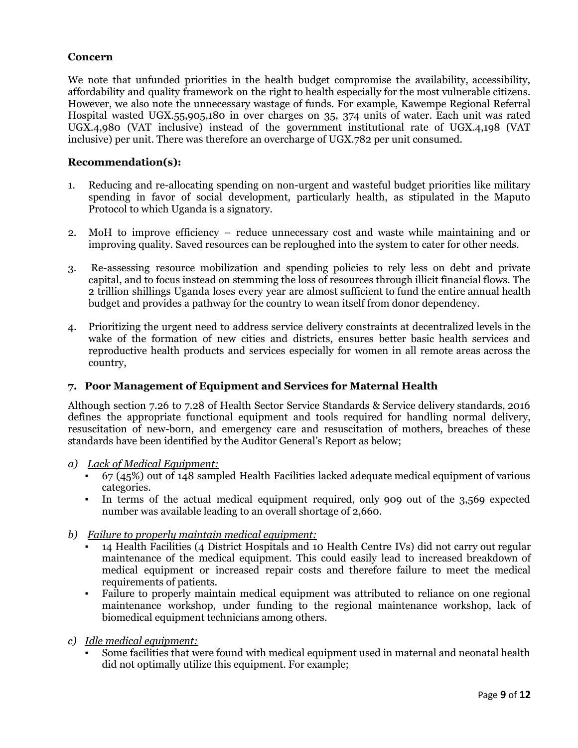# **Concern**

We note that unfunded priorities in the health budget compromise the availability, accessibility, affordability and quality framework on the right to health especially for the most vulnerable citizens. However, we also note the unnecessary wastage of funds. For example, Kawempe Regional Referral Hospital wasted UGX.55,905,180 in over charges on 35, 374 units of water. Each unit was rated UGX.4,980 (VAT inclusive) instead of the government institutional rate of UGX.4,198 (VAT inclusive) per unit. There was therefore an overcharge of UGX.782 per unit consumed.

#### **Recommendation(s):**

- 1. Reducing and re-allocating spending on non-urgent and wasteful budget priorities like military spending in favor of social development, particularly health, as stipulated in the Maputo Protocol to which Uganda is a signatory.
- 2. MoH to improve efficiency reduce unnecessary cost and waste while maintaining and or improving quality. Saved resources can be reploughed into the system to cater for other needs.
- 3. Re-assessing resource mobilization and spending policies to rely less on debt and private capital, and to focus instead on stemming the loss of resources through illicit financial flows. The 2 trillion shillings Uganda loses every year are almost sufficient to fund the entire annual health budget and provides a pathway for the country to wean itself from donor dependency.
- 4. Prioritizing the urgent need to address service delivery constraints at decentralized levels in the wake of the formation of new cities and districts, ensures better basic health services and reproductive health products and services especially for women in all remote areas across the country,

#### **7. Poor Management of Equipment and Services for Maternal Health**

Although section 7.26 to 7.28 of Health Sector Service Standards & Service delivery standards, 2016 defines the appropriate functional equipment and tools required for handling normal delivery, resuscitation of new-born, and emergency care and resuscitation of mothers, breaches of these standards have been identified by the Auditor General's Report as below;

- *a) Lack of Medical Equipment:*
	- $67$  (45%) out of 148 sampled Health Facilities lacked adequate medical equipment of various categories.
	- In terms of the actual medical equipment required, only 909 out of the 3,569 expected number was available leading to an overall shortage of 2,660.
- *b) Failure to properly maintain medical equipment:*
	- 14 Health Facilities (4 District Hospitals and 10 Health Centre IVs) did not carry out regular maintenance of the medical equipment. This could easily lead to increased breakdown of medical equipment or increased repair costs and therefore failure to meet the medical requirements of patients.
	- Failure to properly maintain medical equipment was attributed to reliance on one regional maintenance workshop, under funding to the regional maintenance workshop, lack of biomedical equipment technicians among others.
- *c) Idle medical equipment:*
	- Some facilities that were found with medical equipment used in maternal and neonatal health did not optimally utilize this equipment. For example;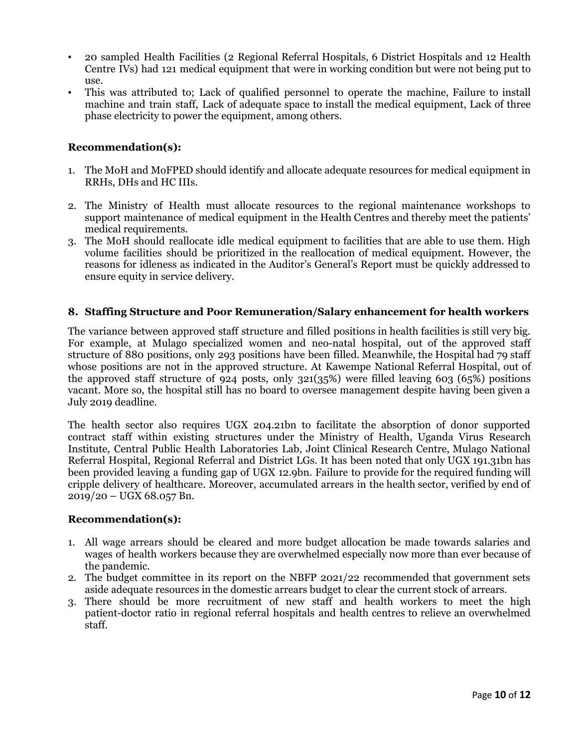- 20 sampled Health Facilities (2 Regional Referral Hospitals, 6 District Hospitals and 12 Health Centre IVs) had 121 medical equipment that were in working condition but were not being put to use.
- This was attributed to; Lack of qualified personnel to operate the machine, Failure to install machine and train staff, Lack of adequate space to install the medical equipment, Lack of three phase electricity to power the equipment, among others.

# **Recommendation(s):**

- 1. The MoH and MoFPED should identify and allocate adequate resources for medical equipment in RRHs, DHs and HC IIIs.
- 2. The Ministry of Health must allocate resources to the regional maintenance workshops to support maintenance of medical equipment in the Health Centres and thereby meet the patients' medical requirements.
- 3. The MoH should reallocate idle medical equipment to facilities that are able to use them. High volume facilities should be prioritized in the reallocation of medical equipment. However, the reasons for idleness as indicated in the Auditor's General's Report must be quickly addressed to ensure equity in service delivery.

#### **8. Staffing Structure and Poor Remuneration/Salary enhancement for health workers**

The variance between approved staff structure and filled positions in health facilities is still very big. For example, at Mulago specialized women and neo-natal hospital, out of the approved staff structure of 880 positions, only 293 positions have been filled. Meanwhile, the Hospital had 79 staff whose positions are not in the approved structure. At Kawempe National Referral Hospital, out of the approved staff structure of 924 posts, only 321(35%) were filled leaving 603 (65%) positions vacant. More so, the hospital still has no board to oversee management despite having been given a July 2019 deadline.

The health sector also requires UGX 204.21bn to facilitate the absorption of donor supported contract staff within existing structures under the Ministry of Health, Uganda Virus Research Institute, Central Public Health Laboratories Lab, Joint Clinical Research Centre, Mulago National Referral Hospital, Regional Referral and District LGs. It has been noted that only UGX 191.31bn has been provided leaving a funding gap of UGX 12.9bn. Failure to provide for the required funding will cripple delivery of healthcare. Moreover, accumulated arrears in the health sector, verified by end of  $2019/20 - UGX 68.057 Bn.$ 

#### **Recommendation(s):**

- 1. All wage arrears should be cleared and more budget allocation be made towards salaries and wages of health workers because they are overwhelmed especially now more than ever because of the pandemic.
- 2. The budget committee in its report on the NBFP 2021/22 recommended that government sets aside adequate resources in the domestic arrears budget to clear the current stock of arrears.
- 3. There should be more recruitment of new staff and health workers to meet the high patient-doctor ratio in regional referral hospitals and health centres to relieve an overwhelmed staff.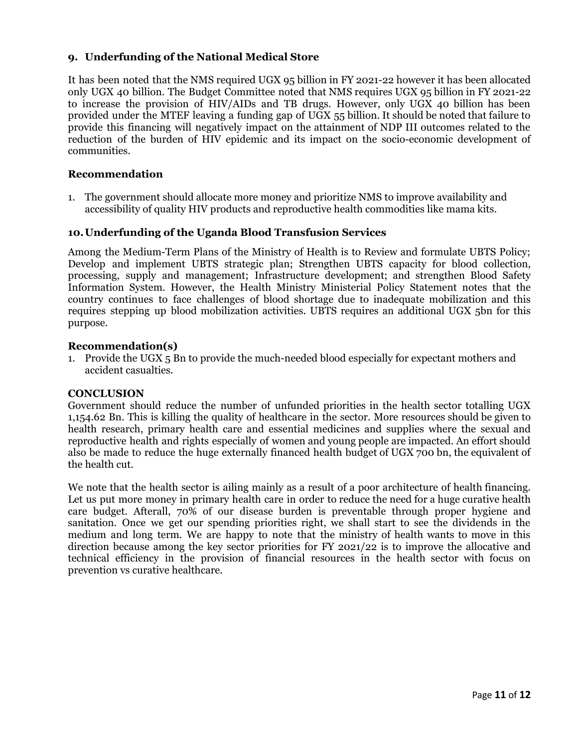# **9. Underfunding of the National Medical Store**

It has been noted that the NMS required UGX 95 billion in FY 2021-22 however it has been allocated only UGX 40 billion. The Budget Committee noted that NMS requires UGX 95 billion in FY 2021-22 to increase the provision of HIV/AIDs and TB drugs. However, only UGX 40 billion has been provided under the MTEF leaving a funding gap of UGX 55 billion. It should be noted that failure to provide this financing will negatively impact on the attainment of NDP III outcomes related to the reduction of the burden of HIV epidemic and its impact on the socio-economic development of communities.

### **Recommendation**

1. The government should allocate more money and prioritize NMS to improve availability and accessibility of quality HIV products and reproductive health commodities like mama kits.

#### **10.Underfunding of the Uganda Blood Transfusion Services**

Among the Medium-Term Plans of the Ministry of Health is to Review and formulate UBTS Policy; Develop and implement UBTS strategic plan; Strengthen UBTS capacity for blood collection, processing, supply and management; Infrastructure development; and strengthen Blood Safety Information System. However, the Health Ministry Ministerial Policy Statement notes that the country continues to face challenges of blood shortage due to inadequate mobilization and this requires stepping up blood mobilization activities. UBTS requires an additional UGX 5bn for this purpose.

#### **Recommendation(s)**

1. Provide the UGX 5 Bn to provide the much-needed blood especially for expectant mothers and accident casualties.

#### **CONCLUSION**

Government should reduce the number of unfunded priorities in the health sector totalling UGX 1,154.62 Bn. This is killing the quality of healthcare in the sector. More resources should be given to health research, primary health care and essential medicines and supplies where the sexual and reproductive health and rights especially of women and young people are impacted. An effort should also be made to reduce the huge externally financed health budget of UGX 700 bn, the equivalent of the health cut.

We note that the health sector is ailing mainly as a result of a poor architecture of health financing. Let us put more money in primary health care in order to reduce the need for a huge curative health care budget. Afterall, 70% of our disease burden is preventable through proper hygiene and sanitation. Once we get our spending priorities right, we shall start to see the dividends in the medium and long term. We are happy to note that the ministry of health wants to move in this direction because among the key sector priorities for FY 2021/22 is to improve the allocative and technical efficiency in the provision of financial resources in the health sector with focus on prevention vs curative healthcare.